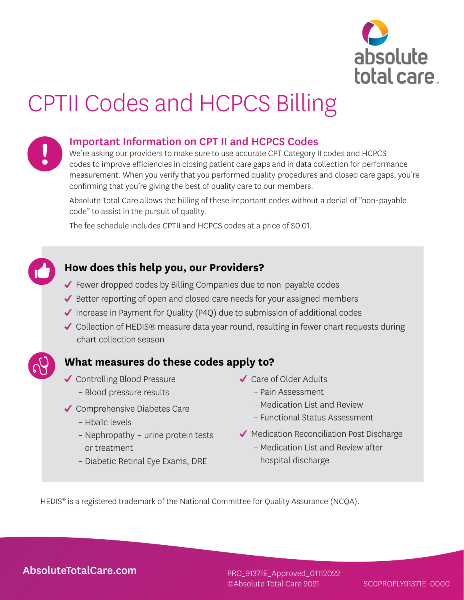

# CPTII Codes and HCPCS Billing



### Important Information on CPT II and HCPCS Codes

We're asking our providers to make sure to use accurate CPT Category II codes and HCPCS codes to improve efficiencies in closing patient care gaps and in data collection for performance measurement. When you verify that you performed quality procedures and closed care gaps, you're confirming that you're giving the best of quality care to our members.

Absolute Total Care allows the billing of these important codes without a denial of "non-payable code" to assist in the pursuit of quality.

The fee schedule includes CPTII and HCPCS codes at a price of \$0.01.

### **How does this help you, our Providers?**

- Fewer dropped codes by Billing Companies due to non-payable codes
- $\blacktriangledown$  Better reporting of open and closed care needs for your assigned members
- Increase in Payment for Quality (P4Q) due to submission of additional codes
- ◆ Collection of HEDIS® measure data year round, resulting in fewer chart requests during chart collection season

## **What measures do these codes apply to?**

- **✓** Controlling Blood Pressure
	- Blood pressure results
- ◆ Comprehensive Diabetes Care
	- Hba1c levels
	- Nephropathy urine protein tests or treatment
	- Diabetic Retinal Eye Exams, DRE
- Care of Older Adults
	- Pain Assessment
	- Medication List and Review
	- Functional Status Assessment
- $\blacktriangleright$  Medication Reconciliation Post Discharge
	- Medication List and Review after hospital discharge

HEDIS<sup>®</sup> is a registered trademark of the National Committee for Quality Assurance (NCQA).

[AbsoluteTotalCare.com](http://AbsoluteTotalCare.com)

PRO\_91371E ©Absolute Total Care 2021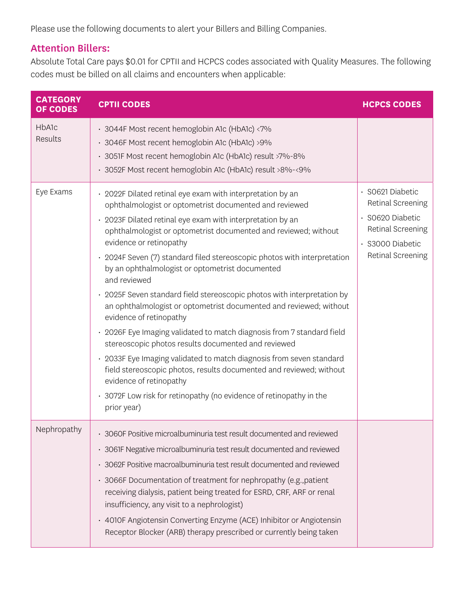Please use the following documents to alert your Billers and Billing Companies.

## Attention Billers:

Absolute Total Care pays \$0.01 for CPTII and HCPCS codes associated with Quality Measures. The following codes must be billed on all claims and encounters when applicable:

| <b>CATEGORY</b><br>OF CODES | <b>CPTII CODES</b>                                                                                                                                                                                                                                                                                                                                                                                                                                                                                                                                                                                                                                                                                                                                                                                                                                                                                                                                                                                           | <b>HCPCS CODES</b>                                                                                                  |
|-----------------------------|--------------------------------------------------------------------------------------------------------------------------------------------------------------------------------------------------------------------------------------------------------------------------------------------------------------------------------------------------------------------------------------------------------------------------------------------------------------------------------------------------------------------------------------------------------------------------------------------------------------------------------------------------------------------------------------------------------------------------------------------------------------------------------------------------------------------------------------------------------------------------------------------------------------------------------------------------------------------------------------------------------------|---------------------------------------------------------------------------------------------------------------------|
| HbA1c<br>Results            | · 3044F Most recent hemoglobin A1c (HbA1c) <7%<br>· 3046F Most recent hemoglobin A1c (HbA1c) >9%<br>· 3051F Most recent hemoglobin A1c (HbA1c) result >7%-8%<br>· 3052F Most recent hemoglobin A1c (HbA1c) result >8%-<9%                                                                                                                                                                                                                                                                                                                                                                                                                                                                                                                                                                                                                                                                                                                                                                                    |                                                                                                                     |
| Eye Exams                   | · 2022F Dilated retinal eye exam with interpretation by an<br>ophthalmologist or optometrist documented and reviewed<br>· 2023F Dilated retinal eye exam with interpretation by an<br>ophthalmologist or optometrist documented and reviewed; without<br>evidence or retinopathy<br>· 2024F Seven (7) standard filed stereoscopic photos with interpretation<br>by an ophthalmologist or optometrist documented<br>and reviewed<br>· 2025F Seven standard field stereoscopic photos with interpretation by<br>an ophthalmologist or optometrist documented and reviewed; without<br>evidence of retinopathy<br>· 2026F Eye Imaging validated to match diagnosis from 7 standard field<br>stereoscopic photos results documented and reviewed<br>• 2033F Eye Imaging validated to match diagnosis from seven standard<br>field stereoscopic photos, results documented and reviewed; without<br>evidence of retinopathy<br>• 3072F Low risk for retinopathy (no evidence of retinopathy in the<br>prior year) | · SO621 Diabetic<br>Retinal Screening<br>S0620 Diabetic<br>Retinal Screening<br>S3000 Diabetic<br>Retinal Screening |
| Nephropathy                 | • 3060F Positive microalbuminuria test result documented and reviewed<br>• 3061F Negative microalbuminuria test result documented and reviewed<br>• 3062F Positive macroalbuminuria test result documented and reviewed<br>· 3066F Documentation of treatment for nephropathy (e.g., patient<br>receiving dialysis, patient being treated for ESRD, CRF, ARF or renal<br>insufficiency, any visit to a nephrologist)<br>• 4010F Angiotensin Converting Enzyme (ACE) Inhibitor or Angiotensin<br>Receptor Blocker (ARB) therapy prescribed or currently being taken                                                                                                                                                                                                                                                                                                                                                                                                                                           |                                                                                                                     |